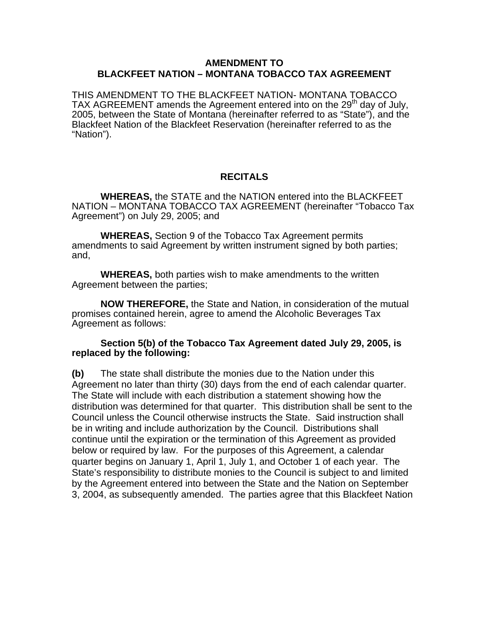## **AMENDMENT TO BLACKFEET NATION – MONTANA TOBACCO TAX AGREEMENT**

THIS AMENDMENT TO THE BLACKFEET NATION- MONTANA TOBACCO TAX AGREEMENT amends the Agreement entered into on the 29<sup>th</sup> day of July, 2005, between the State of Montana (hereinafter referred to as "State"), and the Blackfeet Nation of the Blackfeet Reservation (hereinafter referred to as the "Nation").

## **RECITALS**

**WHEREAS,** the STATE and the NATION entered into the BLACKFEET NATION – MONTANA TOBACCO TAX AGREEMENT (hereinafter "Tobacco Tax Agreement") on July 29, 2005; and

**WHEREAS,** Section 9 of the Tobacco Tax Agreement permits amendments to said Agreement by written instrument signed by both parties; and,

**WHEREAS,** both parties wish to make amendments to the written Agreement between the parties;

**NOW THEREFORE,** the State and Nation, in consideration of the mutual promises contained herein, agree to amend the Alcoholic Beverages Tax Agreement as follows:

## **Section 5(b) of the Tobacco Tax Agreement dated July 29, 2005, is replaced by the following:**

**(b)** The state shall distribute the monies due to the Nation under this Agreement no later than thirty (30) days from the end of each calendar quarter. The State will include with each distribution a statement showing how the distribution was determined for that quarter. This distribution shall be sent to the Council unless the Council otherwise instructs the State. Said instruction shall be in writing and include authorization by the Council. Distributions shall continue until the expiration or the termination of this Agreement as provided below or required by law. For the purposes of this Agreement, a calendar quarter begins on January 1, April 1, July 1, and October 1 of each year. The State's responsibility to distribute monies to the Council is subject to and limited by the Agreement entered into between the State and the Nation on September 3, 2004, as subsequently amended. The parties agree that this Blackfeet Nation